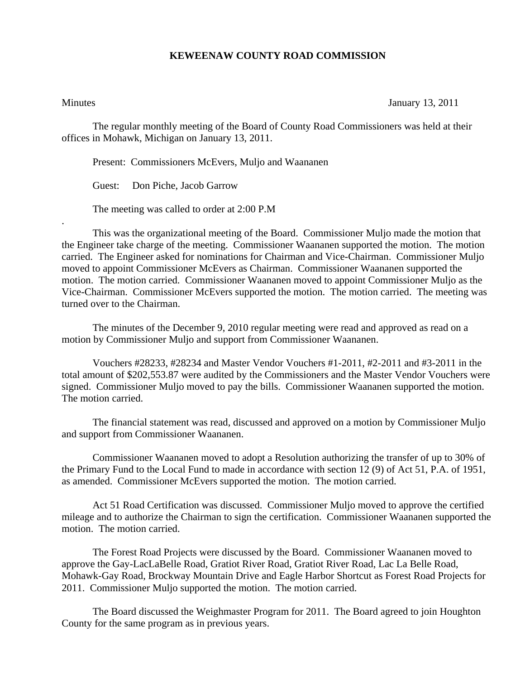## **KEWEENAW COUNTY ROAD COMMISSION**

.

Minutes January 13, 2011

The regular monthly meeting of the Board of County Road Commissioners was held at their offices in Mohawk, Michigan on January 13, 2011.

Present: Commissioners McEvers, Muljo and Waananen

Guest: Don Piche, Jacob Garrow

The meeting was called to order at 2:00 P.M

 This was the organizational meeting of the Board. Commissioner Muljo made the motion that the Engineer take charge of the meeting. Commissioner Waananen supported the motion. The motion carried. The Engineer asked for nominations for Chairman and Vice-Chairman. Commissioner Muljo moved to appoint Commissioner McEvers as Chairman. Commissioner Waananen supported the motion. The motion carried. Commissioner Waananen moved to appoint Commissioner Muljo as the Vice-Chairman. Commissioner McEvers supported the motion. The motion carried. The meeting was turned over to the Chairman.

 The minutes of the December 9, 2010 regular meeting were read and approved as read on a motion by Commissioner Muljo and support from Commissioner Waananen.

 Vouchers #28233, #28234 and Master Vendor Vouchers #1-2011, #2-2011 and #3-2011 in the total amount of \$202,553.87 were audited by the Commissioners and the Master Vendor Vouchers were signed. Commissioner Muljo moved to pay the bills. Commissioner Waananen supported the motion. The motion carried.

 The financial statement was read, discussed and approved on a motion by Commissioner Muljo and support from Commissioner Waananen.

 Commissioner Waananen moved to adopt a Resolution authorizing the transfer of up to 30% of the Primary Fund to the Local Fund to made in accordance with section 12 (9) of Act 51, P.A. of 1951, as amended. Commissioner McEvers supported the motion. The motion carried.

 Act 51 Road Certification was discussed. Commissioner Muljo moved to approve the certified mileage and to authorize the Chairman to sign the certification. Commissioner Waananen supported the motion. The motion carried.

 The Forest Road Projects were discussed by the Board. Commissioner Waananen moved to approve the Gay-LacLaBelle Road, Gratiot River Road, Gratiot River Road, Lac La Belle Road, Mohawk-Gay Road, Brockway Mountain Drive and Eagle Harbor Shortcut as Forest Road Projects for 2011. Commissioner Muljo supported the motion. The motion carried.

 The Board discussed the Weighmaster Program for 2011. The Board agreed to join Houghton County for the same program as in previous years.